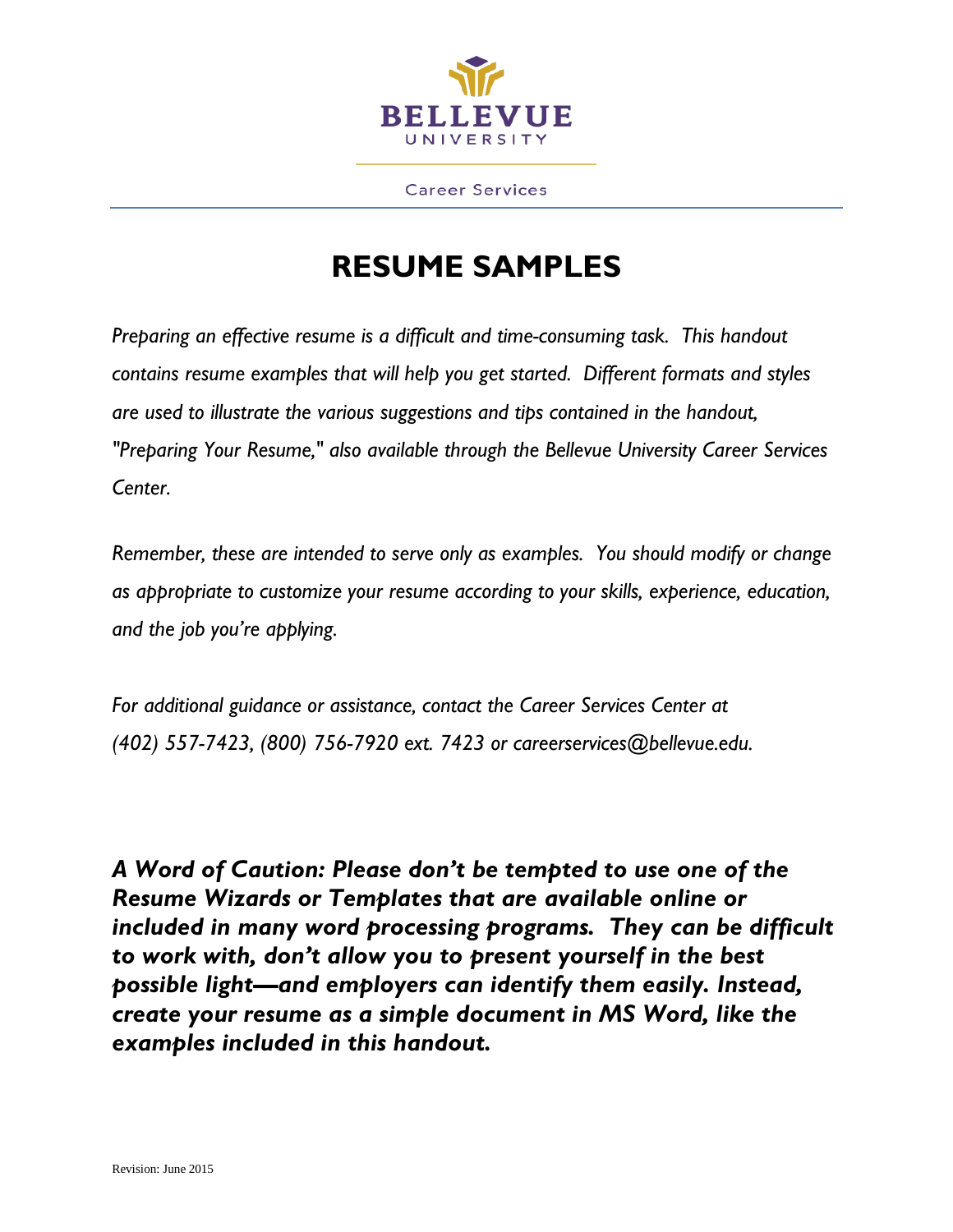

**Career Services** 

# **RESUME SAMPLES**

*Preparing an effective resume is a difficult and time-consuming task. This handout contains resume examples that will help you get started. Different formats and styles are used to illustrate the various suggestions and tips contained in the handout, "Preparing Your Resume," also available through the Bellevue University Career Services Center.*

*Remember, these are intended to serve only as examples. You should modify or change as appropriate to customize your resume according to your skills, experience, education, and the job you're applying.* 

*For additional guidance or assistance, contact the Career Services Center at (402) 557-7423, (800) 756-7920 ext. 7423 or careerservices@bellevue.edu.*

*A Word of Caution: Please don't be tempted to use one of the Resume Wizards or Templates that are available online or included in many word processing programs. They can be difficult to work with, don't allow you to present yourself in the best possible light—and employers can identify them easily. Instead, create your resume as a simple document in MS Word, like the examples included in this handout.*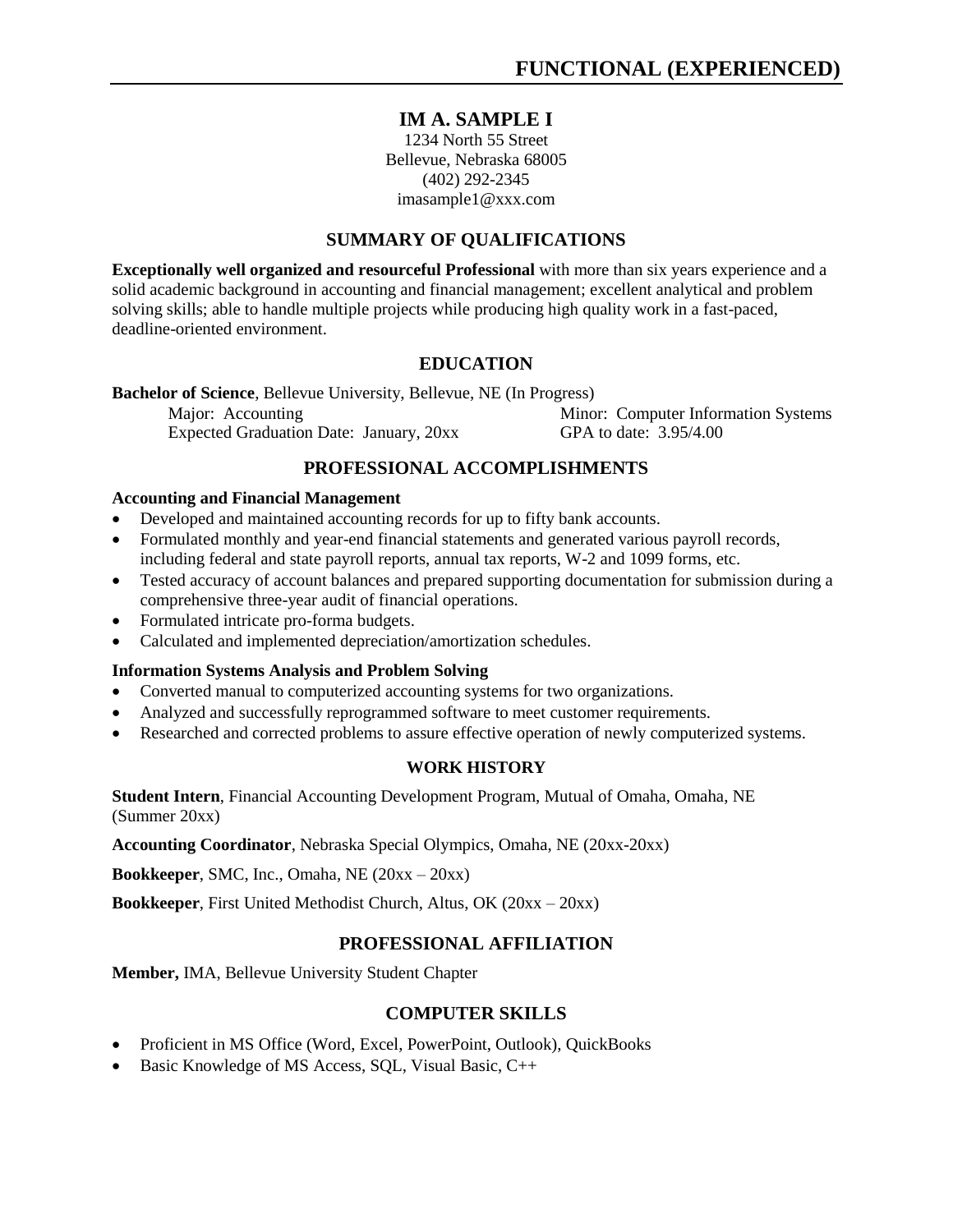#### **IM A. SAMPLE I**

1234 North 55 Street Bellevue, Nebraska 68005 (402) 292-2345 [imasample1@xxx.com](mailto:imasample1@xxx.com)

#### **SUMMARY OF QUALIFICATIONS**

**Exceptionally well organized and resourceful Professional** with more than six years experience and a solid academic background in accounting and financial management; excellent analytical and problem solving skills; able to handle multiple projects while producing high quality work in a fast-paced, deadline-oriented environment.

#### **EDUCATION**

**Bachelor of Science**, Bellevue University, Bellevue, NE (In Progress) Major: Accounting Minor: Computer Information Systems Expected Graduation Date: January, 20xx GPA to date: 3.95/4.00

#### **PROFESSIONAL ACCOMPLISHMENTS**

#### **Accounting and Financial Management**

- Developed and maintained accounting records for up to fifty bank accounts.
- Formulated monthly and year-end financial statements and generated various payroll records, including federal and state payroll reports, annual tax reports, W-2 and 1099 forms, etc.
- Tested accuracy of account balances and prepared supporting documentation for submission during a comprehensive three-year audit of financial operations.
- Formulated intricate pro-forma budgets.
- Calculated and implemented depreciation/amortization schedules.

#### **Information Systems Analysis and Problem Solving**

- Converted manual to computerized accounting systems for two organizations.
- Analyzed and successfully reprogrammed software to meet customer requirements.
- Researched and corrected problems to assure effective operation of newly computerized systems.

#### **WORK HISTORY**

**Student Intern**, Financial Accounting Development Program, Mutual of Omaha, Omaha, NE (Summer 20xx)

**Accounting Coordinator**, Nebraska Special Olympics, Omaha, NE (20xx-20xx)

**Bookkeeper**, SMC, Inc., Omaha, NE (20xx – 20xx)

**Bookkeeper**, First United Methodist Church, Altus, OK (20xx – 20xx)

#### **PROFESSIONAL AFFILIATION**

**Member,** IMA, Bellevue University Student Chapter

#### **COMPUTER SKILLS**

- Proficient in MS Office (Word, Excel, PowerPoint, Outlook), QuickBooks
- Basic Knowledge of MS Access, SQL, Visual Basic, C++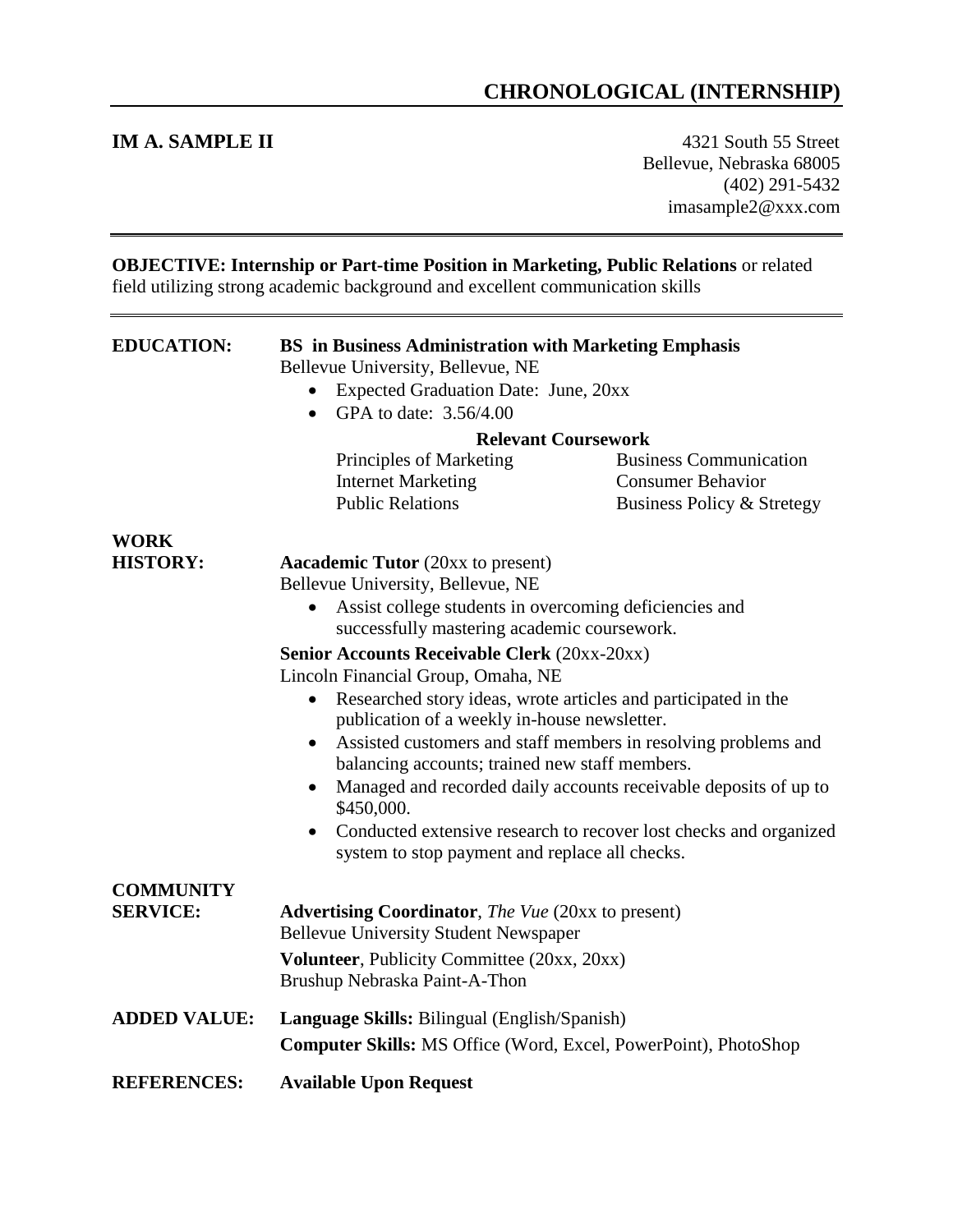## **CHRONOLOGICAL (INTERNSHIP)**

**IM A. SAMPLE II** 4321 South 55 Street Bellevue, Nebraska 68005 (402) 291-5432 imasample2@xxx.com

| <b>OBJECTIVE: Internship or Part-time Position in Marketing, Public Relations or related</b><br>field utilizing strong academic background and excellent communication skills |                                                                                                                                                                                                                                                                                                                                                                                                                                                                                                                                                                                                                                                                                                                                                                                        |  |
|-------------------------------------------------------------------------------------------------------------------------------------------------------------------------------|----------------------------------------------------------------------------------------------------------------------------------------------------------------------------------------------------------------------------------------------------------------------------------------------------------------------------------------------------------------------------------------------------------------------------------------------------------------------------------------------------------------------------------------------------------------------------------------------------------------------------------------------------------------------------------------------------------------------------------------------------------------------------------------|--|
| <b>EDUCATION:</b>                                                                                                                                                             | <b>BS</b> in Business Administration with Marketing Emphasis<br>Bellevue University, Bellevue, NE<br>Expected Graduation Date: June, 20xx<br>GPA to date: 3.56/4.00<br>$\bullet$<br><b>Relevant Coursework</b><br>Principles of Marketing<br><b>Business Communication</b><br><b>Internet Marketing</b><br><b>Consumer Behavior</b><br><b>Public Relations</b><br>Business Policy & Stretegy                                                                                                                                                                                                                                                                                                                                                                                           |  |
| <b>WORK</b><br><b>HISTORY:</b>                                                                                                                                                | <b>Aacademic Tutor</b> (20xx to present)<br>Bellevue University, Bellevue, NE<br>Assist college students in overcoming deficiencies and<br>successfully mastering academic coursework.<br><b>Senior Accounts Receivable Clerk (20xx-20xx)</b><br>Lincoln Financial Group, Omaha, NE<br>Researched story ideas, wrote articles and participated in the<br>$\bullet$<br>publication of a weekly in-house newsletter.<br>Assisted customers and staff members in resolving problems and<br>$\bullet$<br>balancing accounts; trained new staff members.<br>Managed and recorded daily accounts receivable deposits of up to<br>$\bullet$<br>\$450,000.<br>Conducted extensive research to recover lost checks and organized<br>$\bullet$<br>system to stop payment and replace all checks. |  |
| <b>COMMUNITY</b><br><b>SERVICE:</b>                                                                                                                                           | <b>Advertising Coordinator, The Vue (20xx to present)</b><br><b>Bellevue University Student Newspaper</b><br><b>Volunteer</b> , Publicity Committee (20xx, 20xx)<br>Brushup Nebraska Paint-A-Thon                                                                                                                                                                                                                                                                                                                                                                                                                                                                                                                                                                                      |  |
| <b>ADDED VALUE:</b>                                                                                                                                                           | Language Skills: Bilingual (English/Spanish)<br><b>Computer Skills:</b> MS Office (Word, Excel, PowerPoint), PhotoShop                                                                                                                                                                                                                                                                                                                                                                                                                                                                                                                                                                                                                                                                 |  |
| <b>REFERENCES:</b>                                                                                                                                                            | <b>Available Upon Request</b>                                                                                                                                                                                                                                                                                                                                                                                                                                                                                                                                                                                                                                                                                                                                                          |  |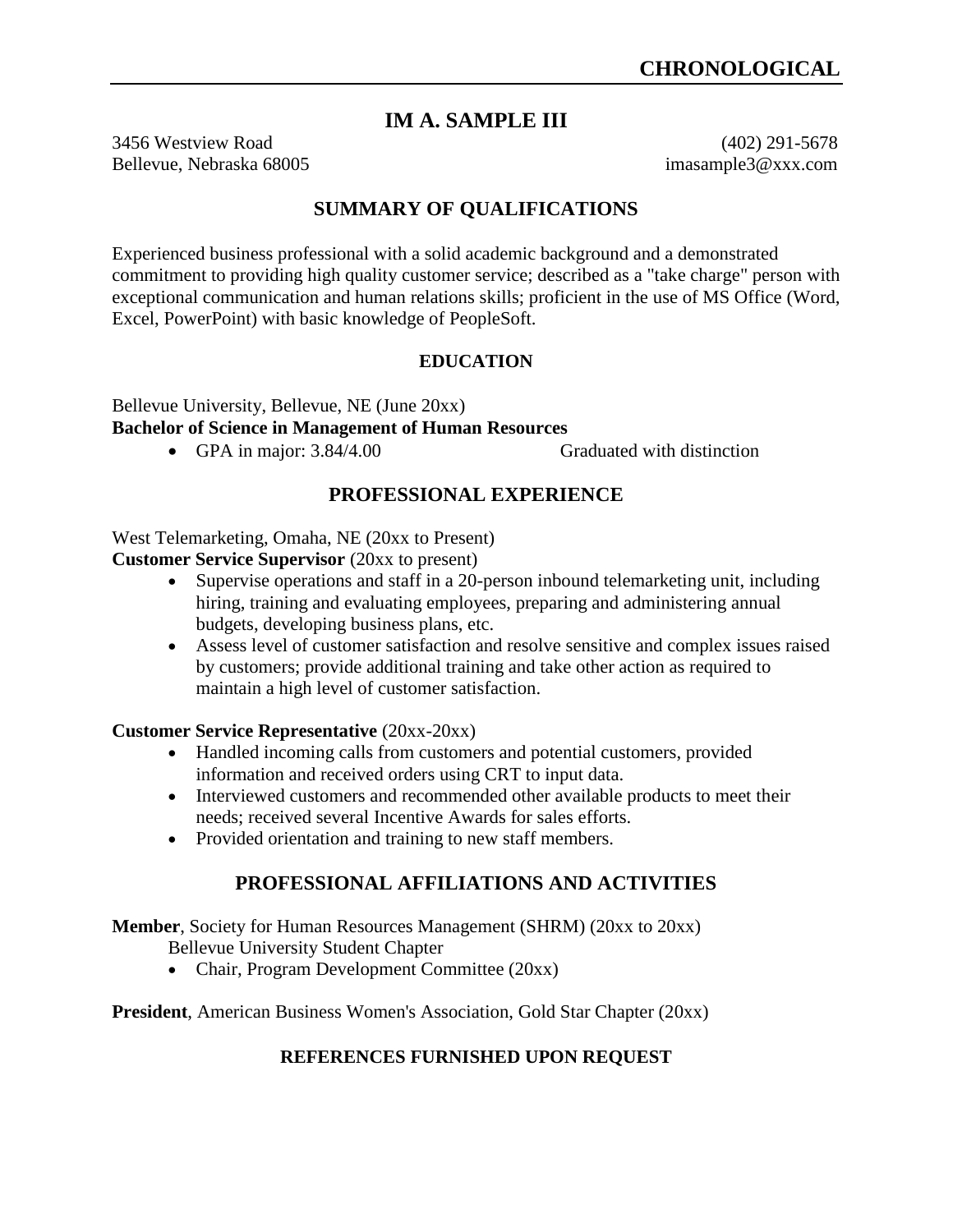#### **IM A. SAMPLE III**

3456 Westview Road (402) 291-5678 Bellevue, Nebraska 68005 imasample3@xxx.com

#### **SUMMARY OF QUALIFICATIONS**

Experienced business professional with a solid academic background and a demonstrated commitment to providing high quality customer service; described as a "take charge" person with exceptional communication and human relations skills; proficient in the use of MS Office (Word, Excel, PowerPoint) with basic knowledge of PeopleSoft.

#### **EDUCATION**

Bellevue University, Bellevue, NE (June 20xx) **Bachelor of Science in Management of Human Resources**

• GPA in major: 3.84/4.00 Graduated with distinction

#### **PROFESSIONAL EXPERIENCE**

West Telemarketing, Omaha, NE (20xx to Present)

**Customer Service Supervisor** (20xx to present)

- Supervise operations and staff in a 20-person inbound telemarketing unit, including hiring, training and evaluating employees, preparing and administering annual budgets, developing business plans, etc.
- Assess level of customer satisfaction and resolve sensitive and complex issues raised by customers; provide additional training and take other action as required to maintain a high level of customer satisfaction.

#### **Customer Service Representative** (20xx-20xx)

- Handled incoming calls from customers and potential customers, provided information and received orders using CRT to input data.
- Interviewed customers and recommended other available products to meet their needs; received several Incentive Awards for sales efforts.
- Provided orientation and training to new staff members.

#### **PROFESSIONAL AFFILIATIONS AND ACTIVITIES**

**Member**, Society for Human Resources Management (SHRM) (20xx to 20xx)

Bellevue University Student Chapter

• Chair, Program Development Committee (20xx)

**President**, American Business Women's Association, Gold Star Chapter (20xx)

#### **REFERENCES FURNISHED UPON REQUEST**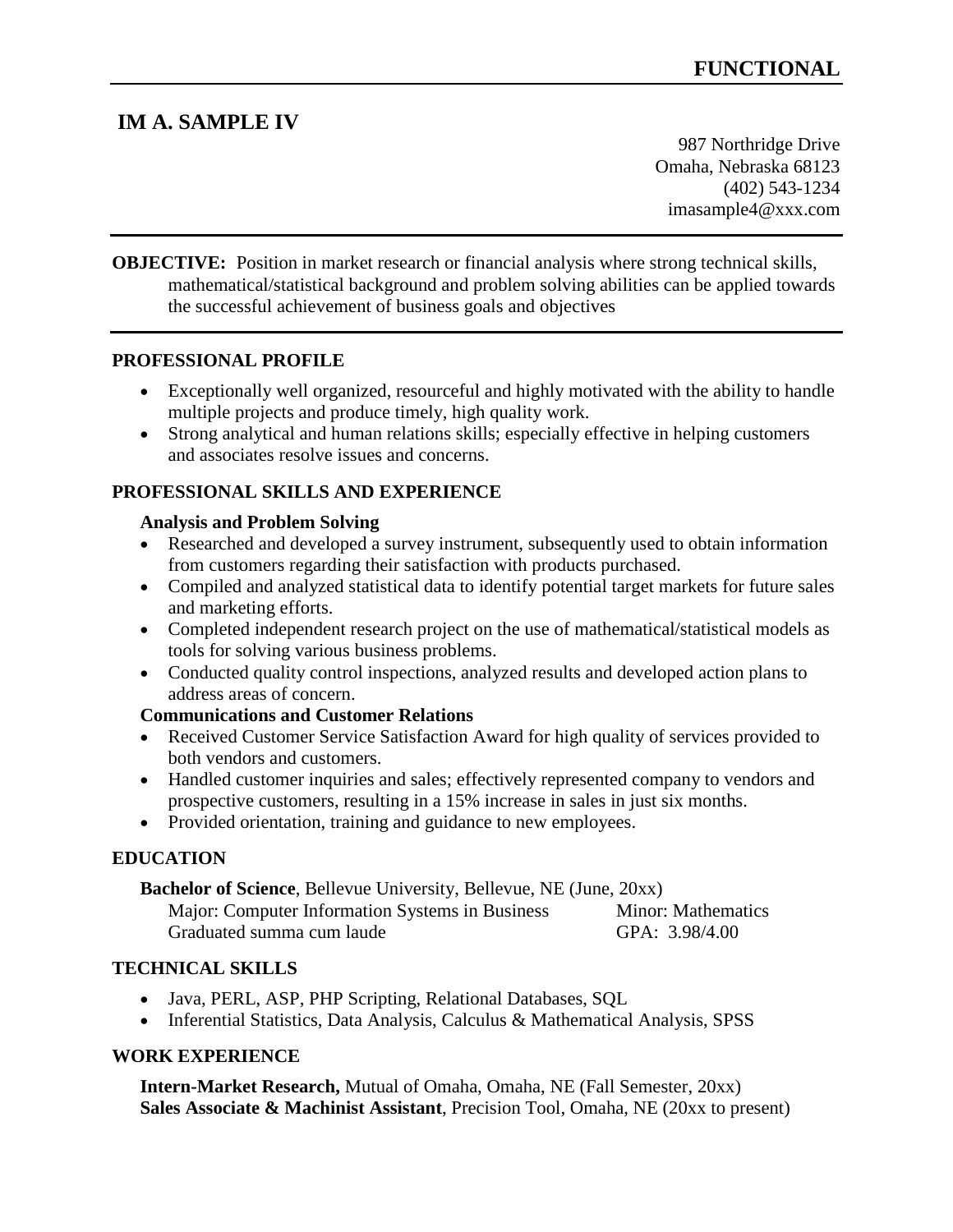## **IM A. SAMPLE IV**

987 Northridge Drive Omaha, Nebraska 68123 (402) 543-1234 [imasample4@xxx.com](mailto:imasample4@xxx.com)

**OBJECTIVE:** Position in market research or financial analysis where strong technical skills, mathematical/statistical background and problem solving abilities can be applied towards the successful achievement of business goals and objectives

#### **PROFESSIONAL PROFILE**

- Exceptionally well organized, resourceful and highly motivated with the ability to handle multiple projects and produce timely, high quality work.
- Strong analytical and human relations skills; especially effective in helping customers and associates resolve issues and concerns.

#### **PROFESSIONAL SKILLS AND EXPERIENCE**

#### **Analysis and Problem Solving**

- Researched and developed a survey instrument, subsequently used to obtain information from customers regarding their satisfaction with products purchased.
- Compiled and analyzed statistical data to identify potential target markets for future sales and marketing efforts.
- Completed independent research project on the use of mathematical/statistical models as tools for solving various business problems.
- Conducted quality control inspections, analyzed results and developed action plans to address areas of concern.

#### **Communications and Customer Relations**

- Received Customer Service Satisfaction Award for high quality of services provided to both vendors and customers.
- Handled customer inquiries and sales; effectively represented company to vendors and prospective customers, resulting in a 15% increase in sales in just six months.
- Provided orientation, training and guidance to new employees.

#### **EDUCATION**

| <b>Bachelor of Science, Bellevue University, Bellevue, NE (June, 20xx)</b> |                           |
|----------------------------------------------------------------------------|---------------------------|
| Major: Computer Information Systems in Business                            | <b>Minor: Mathematics</b> |
| Graduated summa cum laude                                                  | GPA: 3.98/4.00            |

#### **TECHNICAL SKILLS**

- Java, PERL, ASP, PHP Scripting, Relational Databases, SQL
- Inferential Statistics, Data Analysis, Calculus & Mathematical Analysis, SPSS

#### **WORK EXPERIENCE**

**Intern-Market Research,** Mutual of Omaha, Omaha, NE (Fall Semester, 20xx) **Sales Associate & Machinist Assistant**, Precision Tool, Omaha, NE (20xx to present)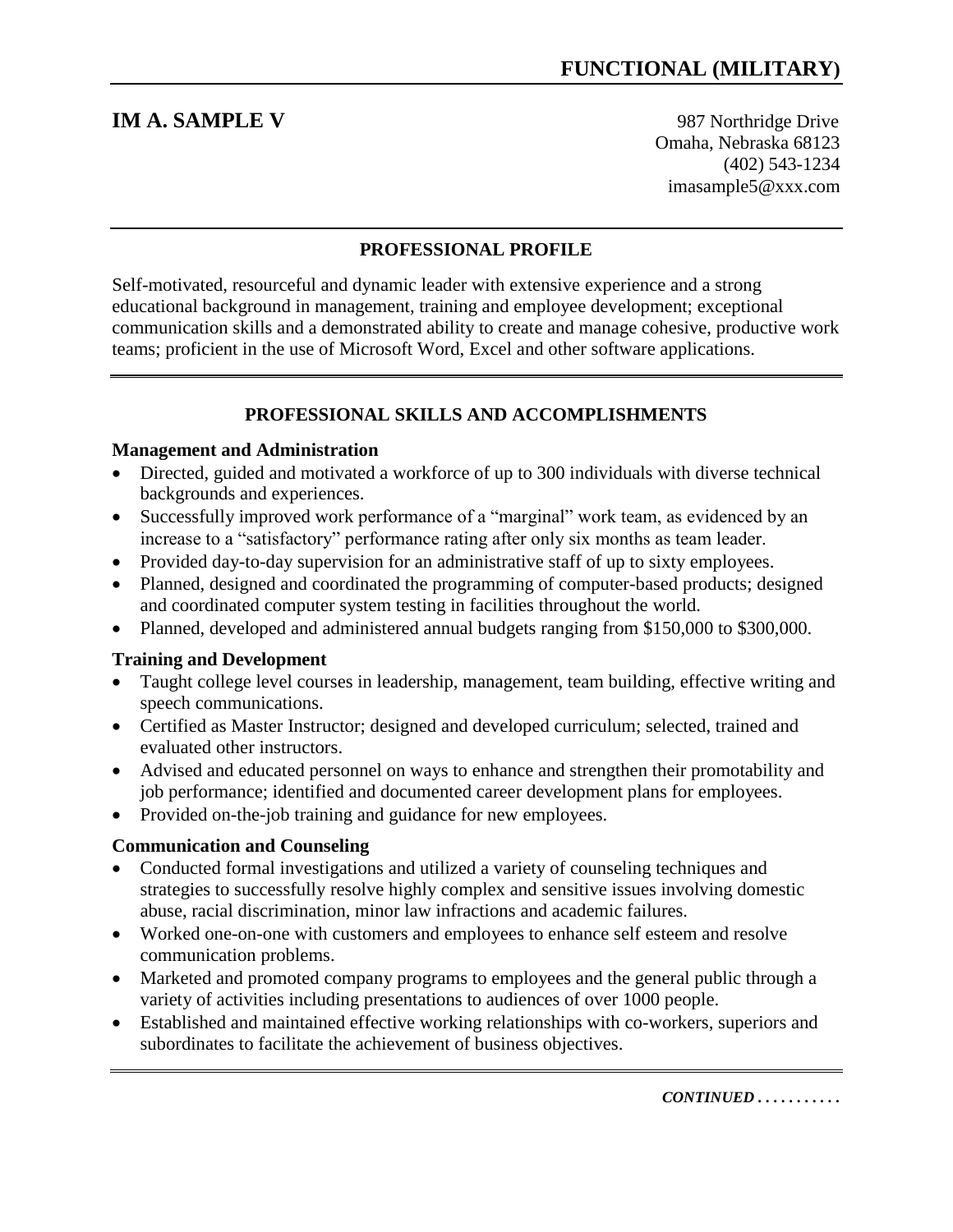**IM A. SAMPLE V** 987 Northridge Drive Omaha, Nebraska 68123 (402) 543-1234 imasample5@xxx.com

#### **PROFESSIONAL PROFILE**

Self-motivated, resourceful and dynamic leader with extensive experience and a strong educational background in management, training and employee development; exceptional communication skills and a demonstrated ability to create and manage cohesive, productive work teams; proficient in the use of Microsoft Word, Excel and other software applications.

#### **PROFESSIONAL SKILLS AND ACCOMPLISHMENTS**

#### **Management and Administration**

- Directed, guided and motivated a workforce of up to 300 individuals with diverse technical backgrounds and experiences.
- Successfully improved work performance of a "marginal" work team, as evidenced by an increase to a "satisfactory" performance rating after only six months as team leader.
- Provided day-to-day supervision for an administrative staff of up to sixty employees.
- Planned, designed and coordinated the programming of computer-based products; designed and coordinated computer system testing in facilities throughout the world.
- Planned, developed and administered annual budgets ranging from \$150,000 to \$300,000.

#### **Training and Development**

- Taught college level courses in leadership, management, team building, effective writing and speech communications.
- Certified as Master Instructor; designed and developed curriculum; selected, trained and evaluated other instructors.
- Advised and educated personnel on ways to enhance and strengthen their promotability and job performance; identified and documented career development plans for employees.
- Provided on-the-job training and guidance for new employees.

#### **Communication and Counseling**

- Conducted formal investigations and utilized a variety of counseling techniques and strategies to successfully resolve highly complex and sensitive issues involving domestic abuse, racial discrimination, minor law infractions and academic failures.
- Worked one-on-one with customers and employees to enhance self esteem and resolve communication problems.
- Marketed and promoted company programs to employees and the general public through a variety of activities including presentations to audiences of over 1000 people.
- Established and maintained effective working relationships with co-workers, superiors and subordinates to facilitate the achievement of business objectives.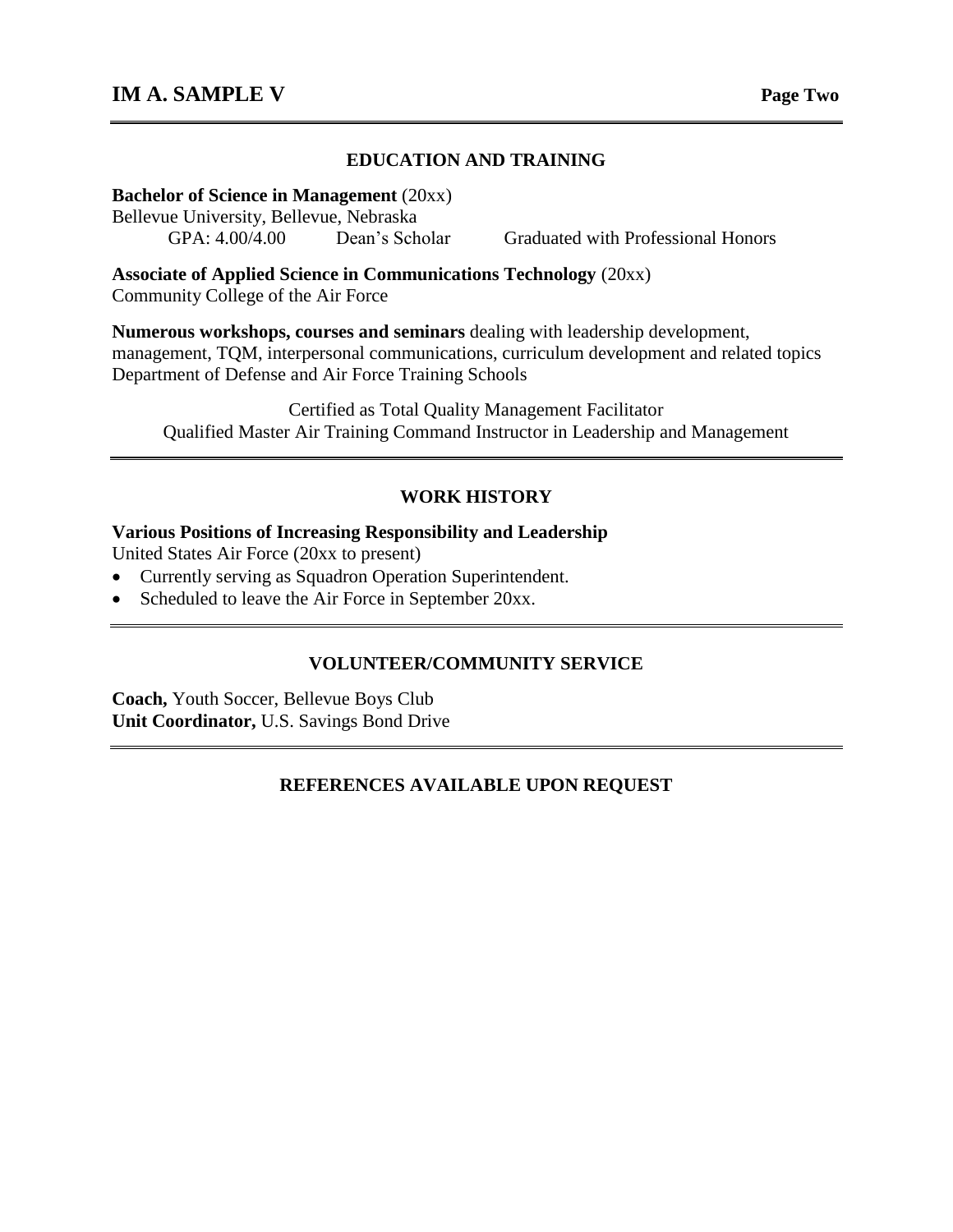#### **EDUCATION AND TRAINING**

**Bachelor of Science in Management** (20xx)

Bellevue University, Bellevue, Nebraska

GPA: 4.00/4.00 Dean's Scholar Graduated with Professional Honors

**Associate of Applied Science in Communications Technology** (20xx) Community College of the Air Force

**Numerous workshops, courses and seminars** dealing with leadership development, management, TQM, interpersonal communications, curriculum development and related topics Department of Defense and Air Force Training Schools

Certified as Total Quality Management Facilitator Qualified Master Air Training Command Instructor in Leadership and Management

#### **WORK HISTORY**

#### **Various Positions of Increasing Responsibility and Leadership**

United States Air Force (20xx to present)

- Currently serving as Squadron Operation Superintendent.
- Scheduled to leave the Air Force in September 20xx.

#### **VOLUNTEER/COMMUNITY SERVICE**

**Coach,** Youth Soccer, Bellevue Boys Club **Unit Coordinator,** U.S. Savings Bond Drive

#### **REFERENCES AVAILABLE UPON REQUEST**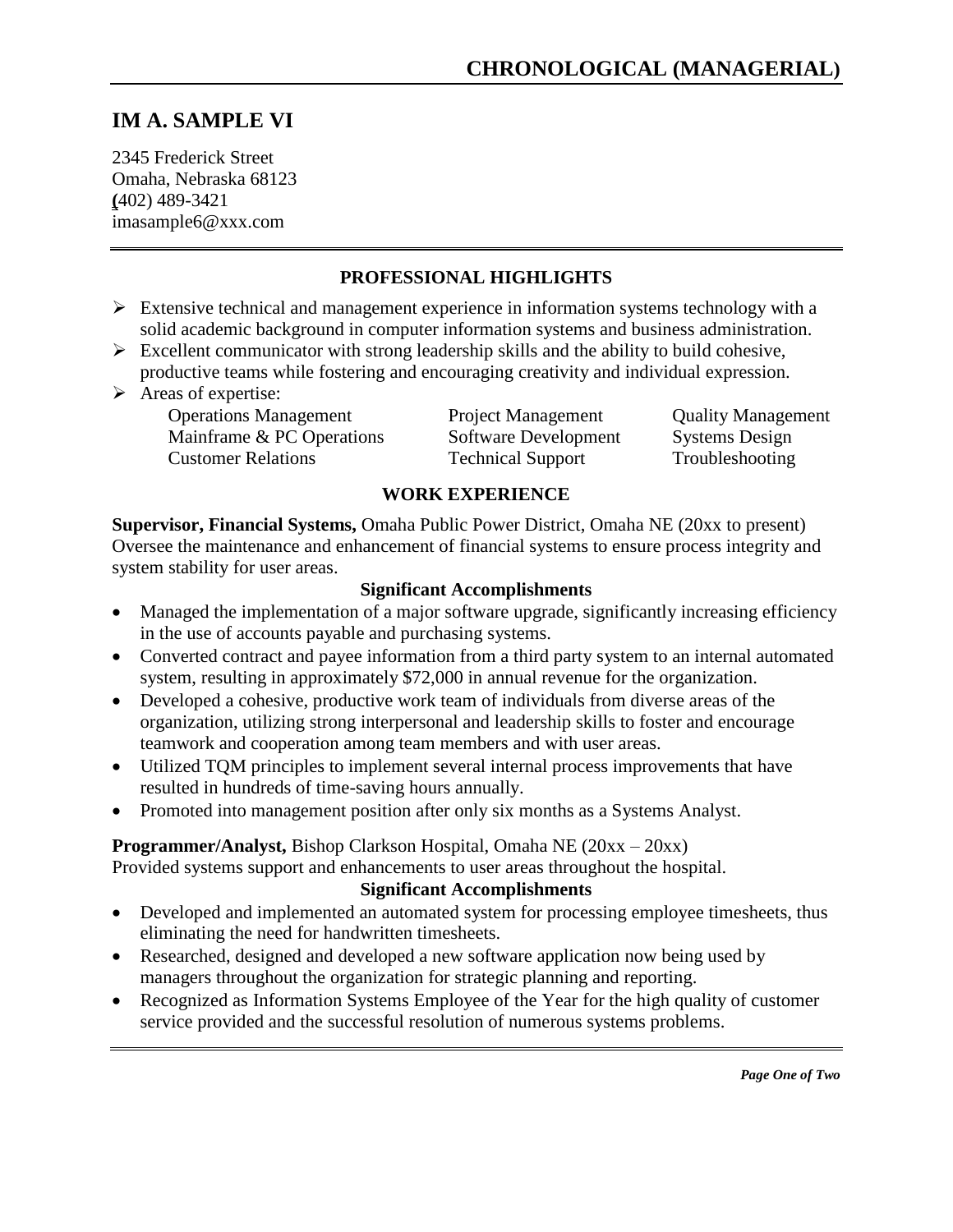## **IM A. SAMPLE VI**

2345 Frederick Street Omaha, Nebraska 68123 **(**402) 489-3421 imasample6@xxx.com

#### **PROFESSIONAL HIGHLIGHTS**

- $\triangleright$  Extensive technical and management experience in information systems technology with a solid academic background in computer information systems and business administration.
- $\triangleright$  Excellent communicator with strong leadership skills and the ability to build cohesive, productive teams while fostering and encouraging creativity and individual expression.
- $\triangleright$  Areas of expertise:

Operations Management<br>
Mainframe & PC Operations<br>
Software Development<br>
Systems Design Mainframe & PC Operations Software Development Systems Design Customer Relations Technical Support Troubleshooting

#### **WORK EXPERIENCE**

**Supervisor, Financial Systems,** Omaha Public Power District, Omaha NE (20xx to present) Oversee the maintenance and enhancement of financial systems to ensure process integrity and system stability for user areas.

#### **Significant Accomplishments**

- Managed the implementation of a major software upgrade, significantly increasing efficiency in the use of accounts payable and purchasing systems.
- Converted contract and payee information from a third party system to an internal automated system, resulting in approximately \$72,000 in annual revenue for the organization.
- Developed a cohesive, productive work team of individuals from diverse areas of the organization, utilizing strong interpersonal and leadership skills to foster and encourage teamwork and cooperation among team members and with user areas.
- Utilized TQM principles to implement several internal process improvements that have resulted in hundreds of time-saving hours annually.
- Promoted into management position after only six months as a Systems Analyst.

#### **Programmer/Analyst,** Bishop Clarkson Hospital, Omaha NE (20xx – 20xx)

Provided systems support and enhancements to user areas throughout the hospital.

#### **Significant Accomplishments**

- Developed and implemented an automated system for processing employee timesheets, thus eliminating the need for handwritten timesheets.
- Researched, designed and developed a new software application now being used by managers throughout the organization for strategic planning and reporting.
- Recognized as Information Systems Employee of the Year for the high quality of customer service provided and the successful resolution of numerous systems problems.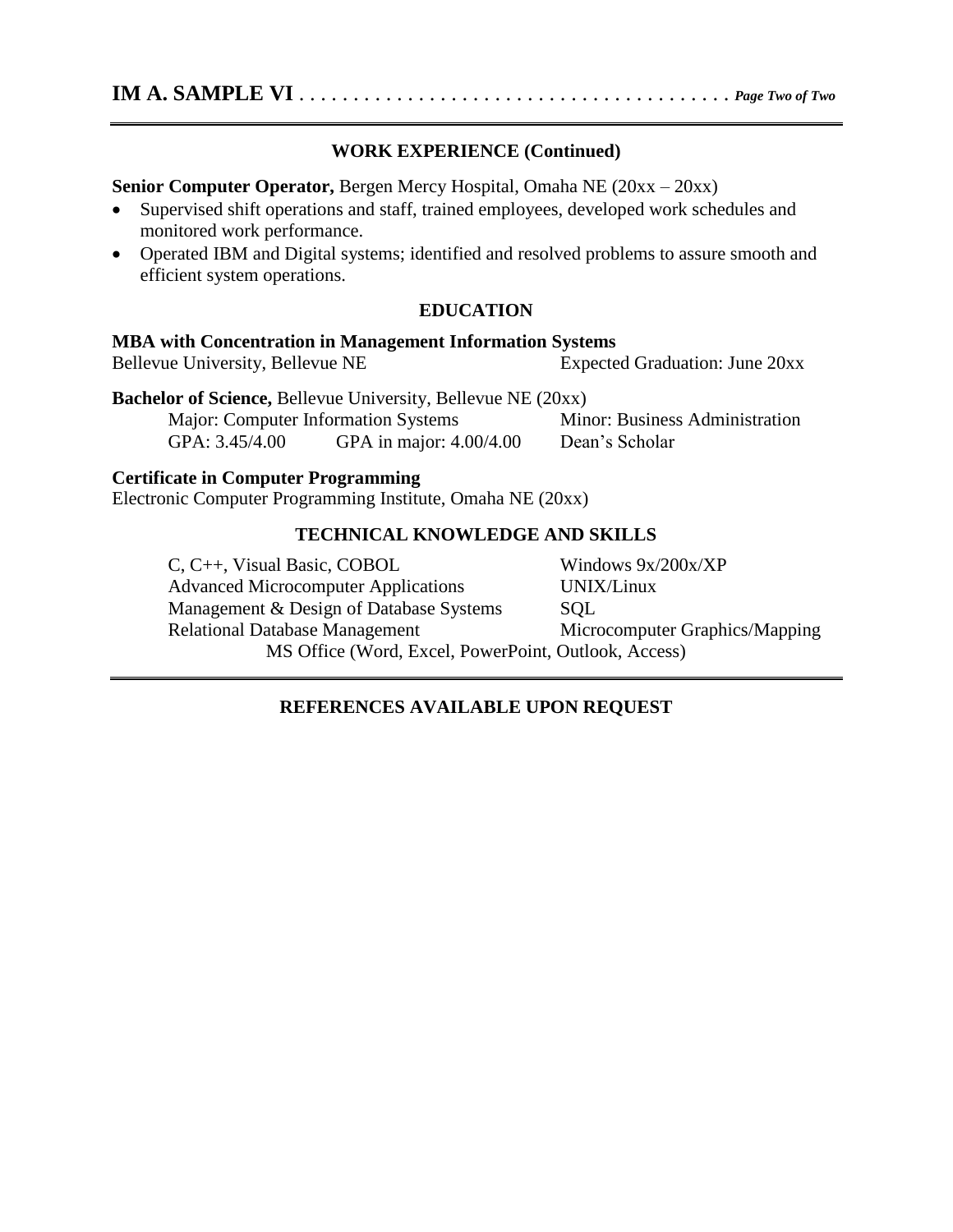#### **WORK EXPERIENCE (Continued)**

**Senior Computer Operator,** Bergen Mercy Hospital, Omaha NE (20xx – 20xx)

- Supervised shift operations and staff, trained employees, developed work schedules and monitored work performance.
- Operated IBM and Digital systems; identified and resolved problems to assure smooth and efficient system operations.

#### **EDUCATION**

#### **MBA with Concentration in Management Information Systems**

Bellevue University, Bellevue NE Expected Graduation: June 20xx

**Bachelor of Science,** Bellevue University, Bellevue NE (20xx) Major: Computer Information Systems Minor: Business Administration

GPA: 3.45/4.00 GPA in major: 4.00/4.00 Dean's Scholar

#### **Certificate in Computer Programming**

Electronic Computer Programming Institute, Omaha NE (20xx)

#### **TECHNICAL KNOWLEDGE AND SKILLS**

C, C++, Visual Basic, COBOL Windows 9x/200x/XP Advanced Microcomputer Applications UNIX/Linux Management & Design of Database Systems SQL Relational Database Management Microcomputer Graphics/Mapping MS Office (Word, Excel, PowerPoint, Outlook, Access)

#### **REFERENCES AVAILABLE UPON REQUEST**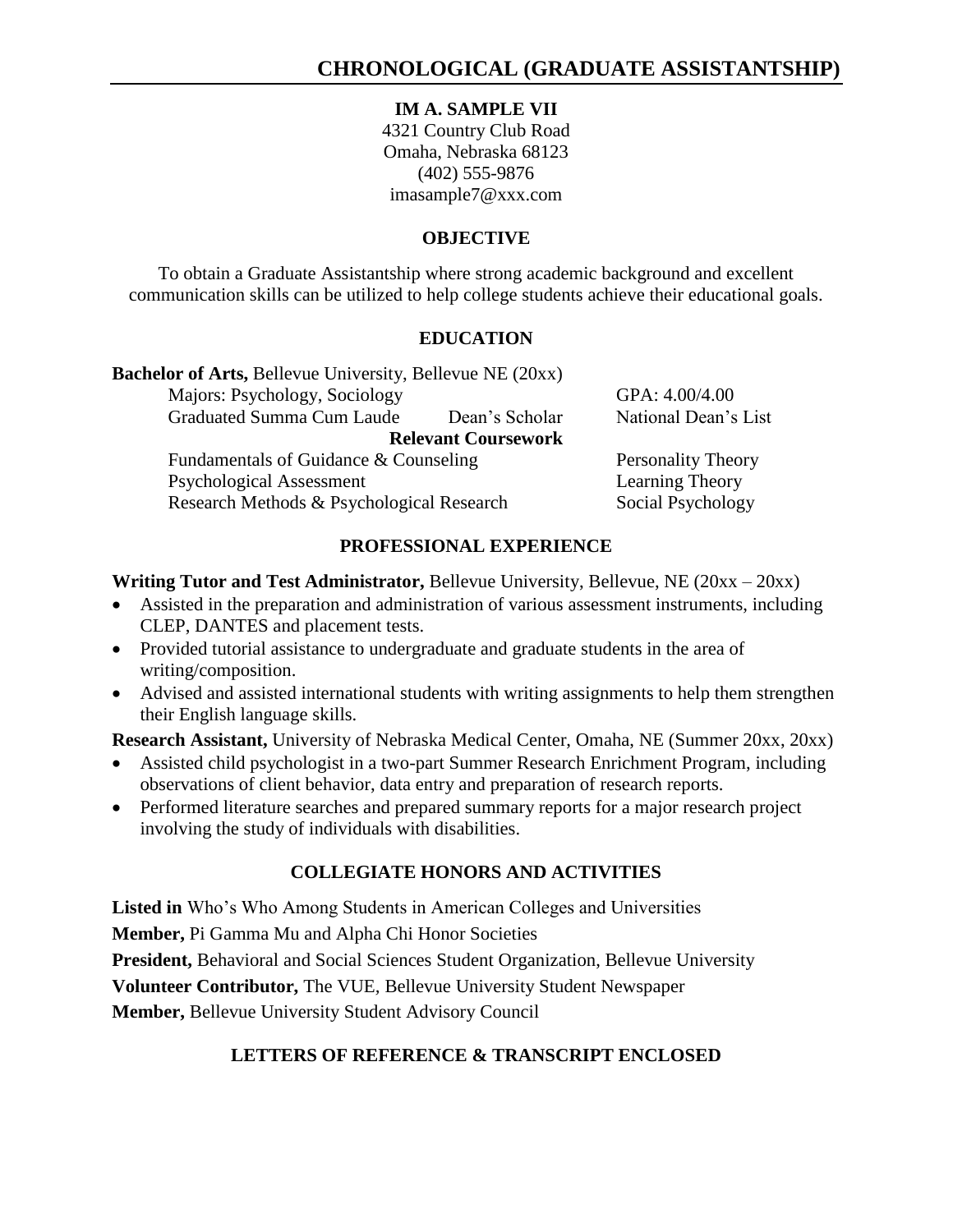#### **IM A. SAMPLE VII**

4321 Country Club Road Omaha, Nebraska 68123 (402) 555-9876 [imasample7@xxx.com](mailto:imasample7@xxx.com)

#### **OBJECTIVE**

To obtain a Graduate Assistantship where strong academic background and excellent communication skills can be utilized to help college students achieve their educational goals.

#### **EDUCATION**

| GPA: 4.00/4.00            |
|---------------------------|
| National Dean's List      |
|                           |
| <b>Personality Theory</b> |
| Learning Theory           |
| Social Psychology         |
|                           |

#### **PROFESSIONAL EXPERIENCE**

#### **Writing Tutor and Test Administrator,** Bellevue University, Bellevue, NE (20xx – 20xx)

- Assisted in the preparation and administration of various assessment instruments, including CLEP, DANTES and placement tests.
- Provided tutorial assistance to undergraduate and graduate students in the area of writing/composition.
- Advised and assisted international students with writing assignments to help them strengthen their English language skills.

**Research Assistant,** University of Nebraska Medical Center, Omaha, NE (Summer 20xx, 20xx)

- Assisted child psychologist in a two-part Summer Research Enrichment Program, including observations of client behavior, data entry and preparation of research reports.
- Performed literature searches and prepared summary reports for a major research project involving the study of individuals with disabilities.

### **COLLEGIATE HONORS AND ACTIVITIES**

**Listed in** Who's Who Among Students in American Colleges and Universities

**Member,** Pi Gamma Mu and Alpha Chi Honor Societies

**President,** Behavioral and Social Sciences Student Organization, Bellevue University

**Volunteer Contributor,** The VUE*,* Bellevue University Student Newspaper

**Member,** Bellevue University Student Advisory Council

### **LETTERS OF REFERENCE & TRANSCRIPT ENCLOSED**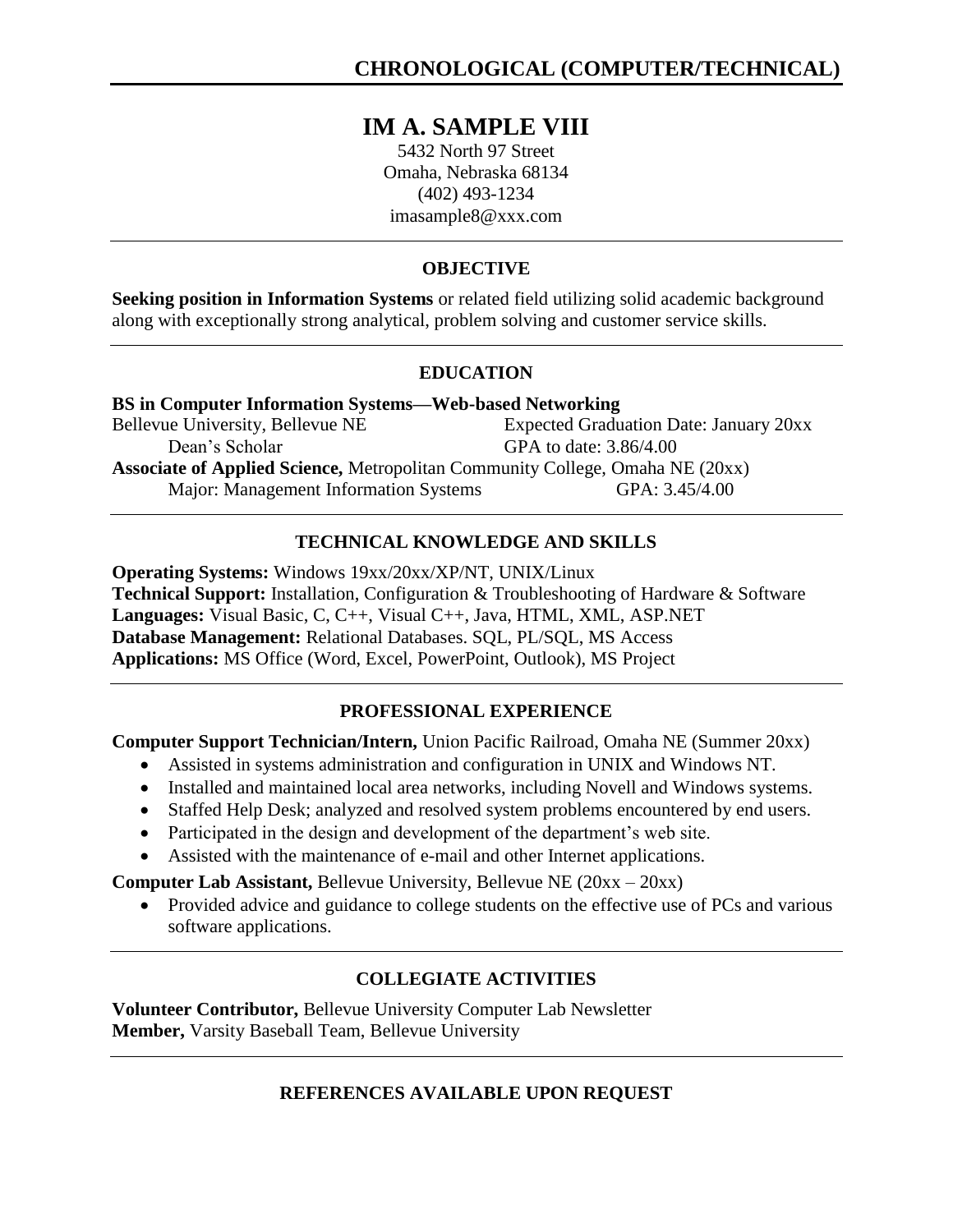## **IM A. SAMPLE VIII**

5432 North 97 Street Omaha, Nebraska 68134 (402) 493-1234 imasample8@xxx.com

#### **OBJECTIVE**

**Seeking position in Information Systems** or related field utilizing solid academic background along with exceptionally strong analytical, problem solving and customer service skills*.*

#### **EDUCATION**

| <b>BS</b> in Computer Information Systems—Web-based Networking                       |                                               |  |  |
|--------------------------------------------------------------------------------------|-----------------------------------------------|--|--|
| Bellevue University, Bellevue NE                                                     | <b>Expected Graduation Date: January 20xx</b> |  |  |
| Dean's Scholar                                                                       | GPA to date: 3.86/4.00                        |  |  |
| <b>Associate of Applied Science, Metropolitan Community College, Omaha NE (20xx)</b> |                                               |  |  |
| Major: Management Information Systems                                                | GPA: 3.45/4.00                                |  |  |

### **TECHNICAL KNOWLEDGE AND SKILLS**

**Operating Systems:** Windows 19xx/20xx/XP/NT, UNIX/Linux **Technical Support:** Installation, Configuration & Troubleshooting of Hardware & Software **Languages:** Visual Basic, C, C++, Visual C++, Java, HTML, XML, ASP.NET **Database Management:** Relational Databases. SQL, PL/SQL, MS Access **Applications:** MS Office (Word, Excel, PowerPoint, Outlook), MS Project

### **PROFESSIONAL EXPERIENCE**

**Computer Support Technician/Intern,** Union Pacific Railroad, Omaha NE (Summer 20xx)

- Assisted in systems administration and configuration in UNIX and Windows NT.
- Installed and maintained local area networks, including Novell and Windows systems.
- Staffed Help Desk; analyzed and resolved system problems encountered by end users.
- Participated in the design and development of the department's web site.
- Assisted with the maintenance of e-mail and other Internet applications.

**Computer Lab Assistant,** Bellevue University, Bellevue NE (20xx – 20xx)

• Provided advice and guidance to college students on the effective use of PCs and various software applications.

## **COLLEGIATE ACTIVITIES**

**Volunteer Contributor,** Bellevue University Computer Lab Newsletter **Member,** Varsity Baseball Team, Bellevue University

#### **REFERENCES AVAILABLE UPON REQUEST**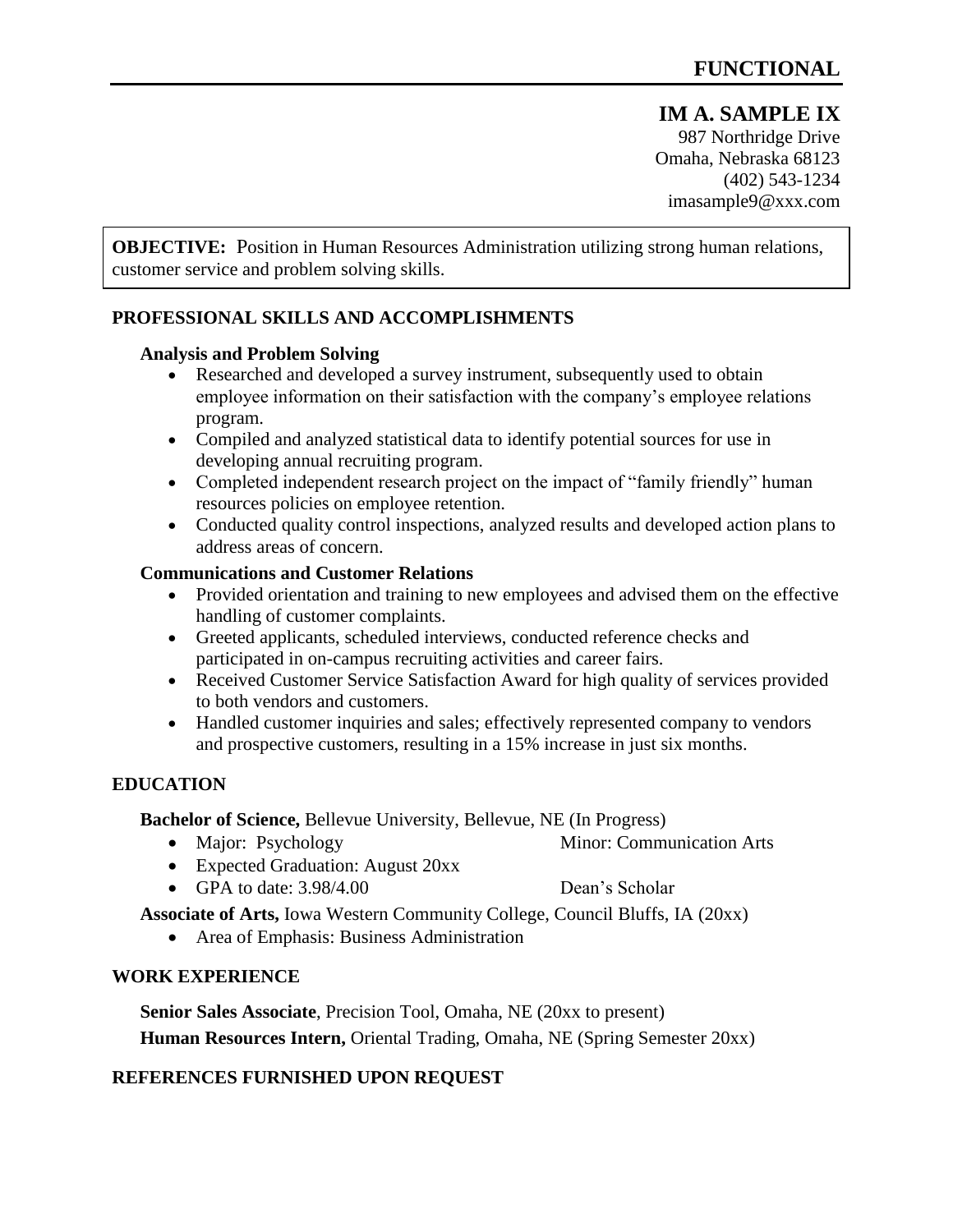#### **IM A. SAMPLE IX** 987 Northridge Drive Omaha, Nebraska 68123 (402) 543-1234

imasample9@xxx.com

**OBJECTIVE:** Position in Human Resources Administration utilizing strong human relations, customer service and problem solving skills.

#### **PROFESSIONAL SKILLS AND ACCOMPLISHMENTS**

#### **Analysis and Problem Solving**

- Researched and developed a survey instrument, subsequently used to obtain employee information on their satisfaction with the company's employee relations program.
- Compiled and analyzed statistical data to identify potential sources for use in developing annual recruiting program.
- Completed independent research project on the impact of "family friendly" human resources policies on employee retention.
- Conducted quality control inspections, analyzed results and developed action plans to address areas of concern.

#### **Communications and Customer Relations**

- Provided orientation and training to new employees and advised them on the effective handling of customer complaints.
- Greeted applicants, scheduled interviews, conducted reference checks and participated in on-campus recruiting activities and career fairs.
- Received Customer Service Satisfaction Award for high quality of services provided to both vendors and customers.
- Handled customer inquiries and sales; effectively represented company to vendors and prospective customers, resulting in a 15% increase in just six months.

#### **EDUCATION**

**Bachelor of Science,** Bellevue University, Bellevue, NE (In Progress)

- Major: Psychology Minor: Communication Arts
	-
- Expected Graduation: August 20xx
- GPA to date:  $3.98/4.00$  Dean's Scholar

**Associate of Arts,** Iowa Western Community College, Council Bluffs, IA (20xx)

Area of Emphasis: Business Administration

#### **WORK EXPERIENCE**

**Senior Sales Associate**, Precision Tool, Omaha, NE (20xx to present) **Human Resources Intern,** Oriental Trading, Omaha, NE (Spring Semester 20xx)

#### **REFERENCES FURNISHED UPON REQUEST**